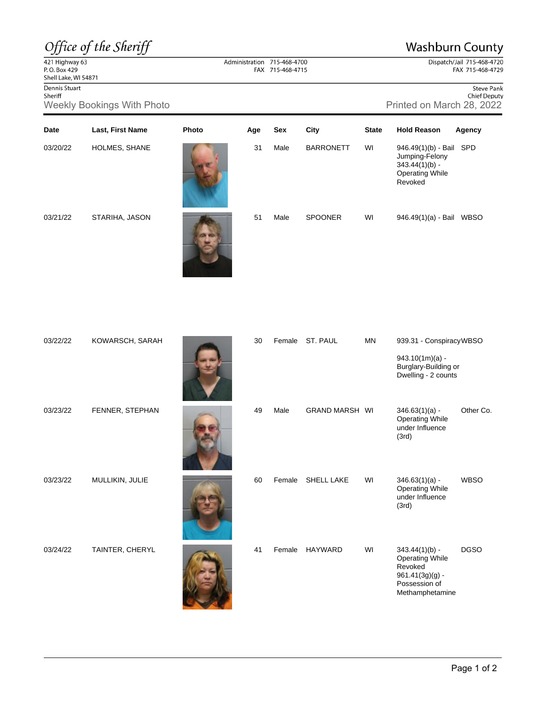## Office of the Sheriff

## **Washburn County**

Dispatch/Jail 715-468-4720 FAX 715-468-4729

 $\frac{22}{421}$  Highway 63<br>P.O. Box 429 Shell Lake, WI 54871

Dennis Stuart Sheriff

Dennis Stuart Sheriff Sheriff Sheriff Sheriff Sheriff Sheriff Sheriff Sheriff Sheriff Sheriff Sheriff Chief Deputy Chief Deputy Chief Deputy Chief Deputy Chief Deputy Chief Deputy Chief Deputy Chief Deputy Chief Deputy Nee

| Date     | Last, First Name | Photo | Age | Sex  | City             | <b>State</b> | <b>Hold Reason</b>                                                                                 | Agency      |
|----------|------------------|-------|-----|------|------------------|--------------|----------------------------------------------------------------------------------------------------|-------------|
| 03/20/22 | HOLMES, SHANE    |       | 31  | Male | <b>BARRONETT</b> | WI           | 946.49(1)(b) - Bail SPD<br>Jumping-Felony<br>$343.44(1)(b) -$<br><b>Operating While</b><br>Revoked |             |
| 03/21/22 | STARIHA, JASON   |       | 51  | Male | <b>SPOONER</b>   | WI           | 946.49(1)(a) - Bail                                                                                | <b>WBSO</b> |

Administration 715-468-4700 FAX 715-468-4715

| 03/22/22 | KOWARSCH, SARAH | 30 | Female | ST. PAUL              | <b>MN</b> | 939.31 - ConspiracyWBSO<br>$943.10(1m)(a) -$<br>Burglary-Building or<br>Dwelling - 2 counts                    |             |
|----------|-----------------|----|--------|-----------------------|-----------|----------------------------------------------------------------------------------------------------------------|-------------|
| 03/23/22 | FENNER, STEPHAN | 49 | Male   | <b>GRAND MARSH WI</b> |           | $346.63(1)(a) -$<br><b>Operating While</b><br>under Influence<br>(3rd)                                         | Other Co.   |
| 03/23/22 | MULLIKIN, JULIE | 60 | Female | <b>SHELL LAKE</b>     | WI        | $346.63(1)(a) -$<br><b>Operating While</b><br>under Influence<br>(3rd)                                         | <b>WBSO</b> |
| 03/24/22 | TAINTER, CHERYL | 41 | Female | <b>HAYWARD</b>        | WI        | $343.44(1)(b) -$<br><b>Operating While</b><br>Revoked<br>$961.41(3g)(g) -$<br>Possession of<br>Methamphetamine | <b>DGSO</b> |